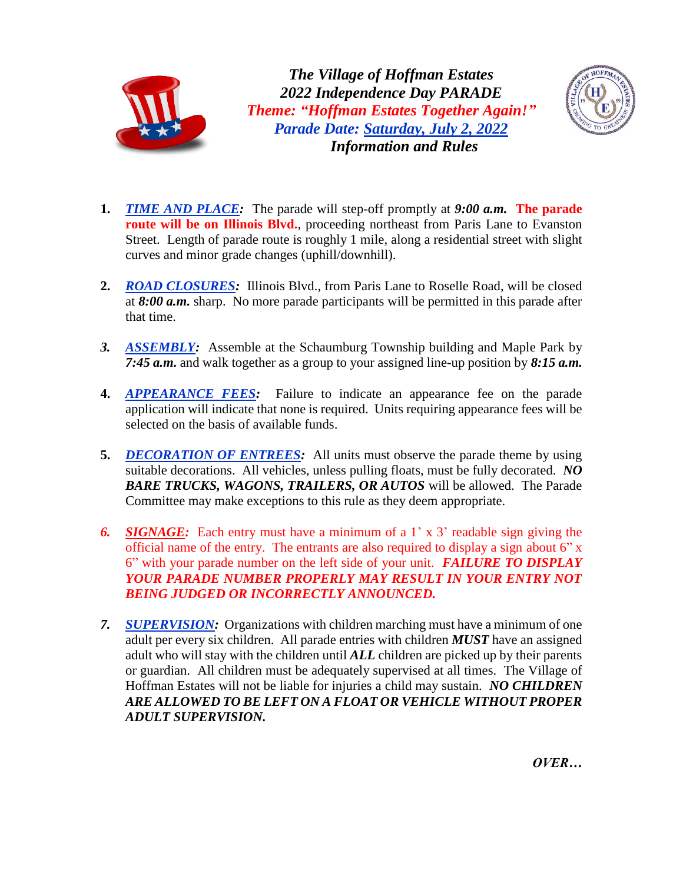

*The Village of Hoffman Estates 2022 Independence Day PARADE Theme: "Hoffman Estates Together Again!" Parade Date: Saturday, July 2, 2022 Information and Rules*



- **1.** *TIME AND PLACE:* The parade will step-off promptly at *9:00 a.m.* **The parade route will be on Illinois Blvd.**, proceeding northeast from Paris Lane to Evanston Street. Length of parade route is roughly 1 mile, along a residential street with slight curves and minor grade changes (uphill/downhill).
- **2.** *ROAD CLOSURES:* Illinois Blvd., from Paris Lane to Roselle Road, will be closed at *8:00 a.m.* sharp. No more parade participants will be permitted in this parade after that time.
- *3. ASSEMBLY:* Assemble at the Schaumburg Township building and Maple Park by *7:45 a.m.* and walk together as a group to your assigned line-up position by *8:15 a.m.*
- **4.** *APPEARANCE FEES:* Failure to indicate an appearance fee on the parade application will indicate that none is required. Units requiring appearance fees will be selected on the basis of available funds.
- **5.** *DECORATION OF ENTREES:* All units must observe the parade theme by using suitable decorations. All vehicles, unless pulling floats, must be fully decorated. *NO BARE TRUCKS, WAGONS, TRAILERS, OR AUTOS* will be allowed. The Parade Committee may make exceptions to this rule as they deem appropriate.
- *6. SIGNAGE:* Each entry must have a minimum of a 1' x 3' readable sign giving the official name of the entry. The entrants are also required to display a sign about 6" x 6" with your parade number on the left side of your unit. *FAILURE TO DISPLAY YOUR PARADE NUMBER PROPERLY MAY RESULT IN YOUR ENTRY NOT BEING JUDGED OR INCORRECTLY ANNOUNCED.*
- *7. SUPERVISION:* Organizations with children marching must have a minimum of one adult per every six children. All parade entries with children *MUST* have an assigned adult who will stay with the children until *ALL* children are picked up by their parents or guardian. All children must be adequately supervised at all times. The Village of Hoffman Estates will not be liable for injuries a child may sustain. *NO CHILDREN ARE ALLOWED TO BE LEFT ON A FLOAT OR VEHICLE WITHOUT PROPER ADULT SUPERVISION.*

*OVER…*